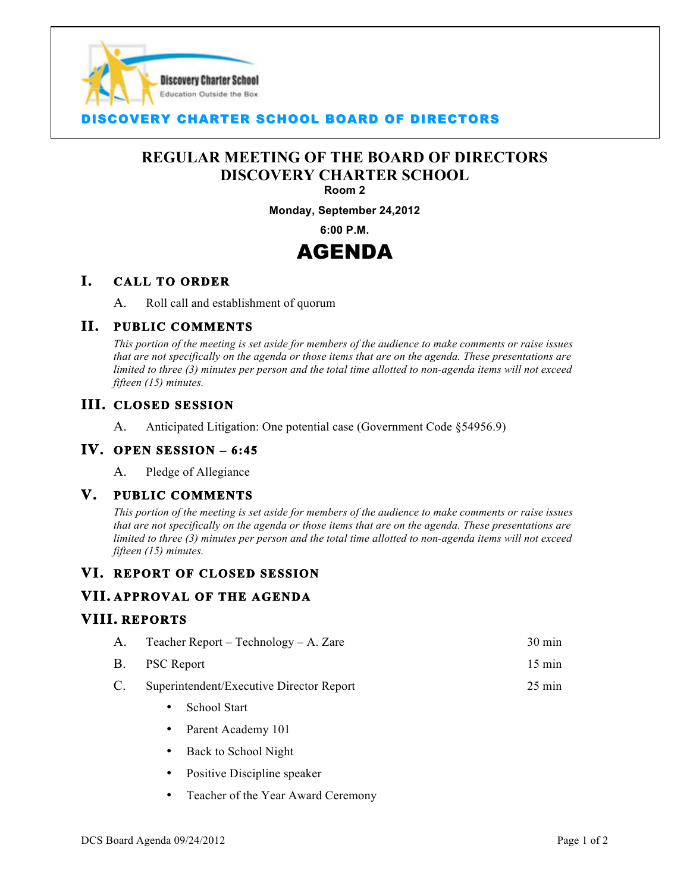

# **COVERY CHARTER SCHOOL BOARD OF DIRECTORS**

# **REGULAR MEETING OF THE BOARD OF DIRECTORS DISCOVERY CHARTER SCHOOL**

I

#### **Room 2**

**Monday, September 24,2012**

**6:00 P.M.**

# AGENDA

# **I. CALL TO ORDER**

A. Roll call and establishment of quorum

# **II. PUBLIC COMMENTS**

*This portion of the meeting is set aside for members of the audience to make comments or raise issues that are not specifically on the agenda or those items that are on the agenda. These presentations are limited to three (3) minutes per person and the total time allotted to non-agenda items will not exceed fifteen (15) minutes.*

# **III. CLOSED SESSION**

A. Anticipated Litigation: One potential case (Government Code §54956.9)

#### **IV. OPEN SESSION – 6:45**

A. Pledge of Allegiance

#### **V. PUBLIC COMMENTS**

*This portion of the meeting is set aside for members of the audience to make comments or raise issues that are not specifically on the agenda or those items that are on the agenda. These presentations are limited to three (3) minutes per person and the total time allotted to non-agenda items will not exceed fifteen (15) minutes.*

# **VI. REPORT OF CLOSED SESSION**

# **VII. APPROVAL OF THE AGENDA**

#### **VIII. REPORTS**

| A. | Teacher Report – Technology – A. Zare       | $30 \text{ min}$ |
|----|---------------------------------------------|------------------|
|    | B. PSC Report                               | $15 \text{ min}$ |
|    | C. Superintendent/Executive Director Report | $25 \text{ min}$ |

- School Start
- Parent Academy 101
- Back to School Night
- Positive Discipline speaker
- Teacher of the Year Award Ceremony